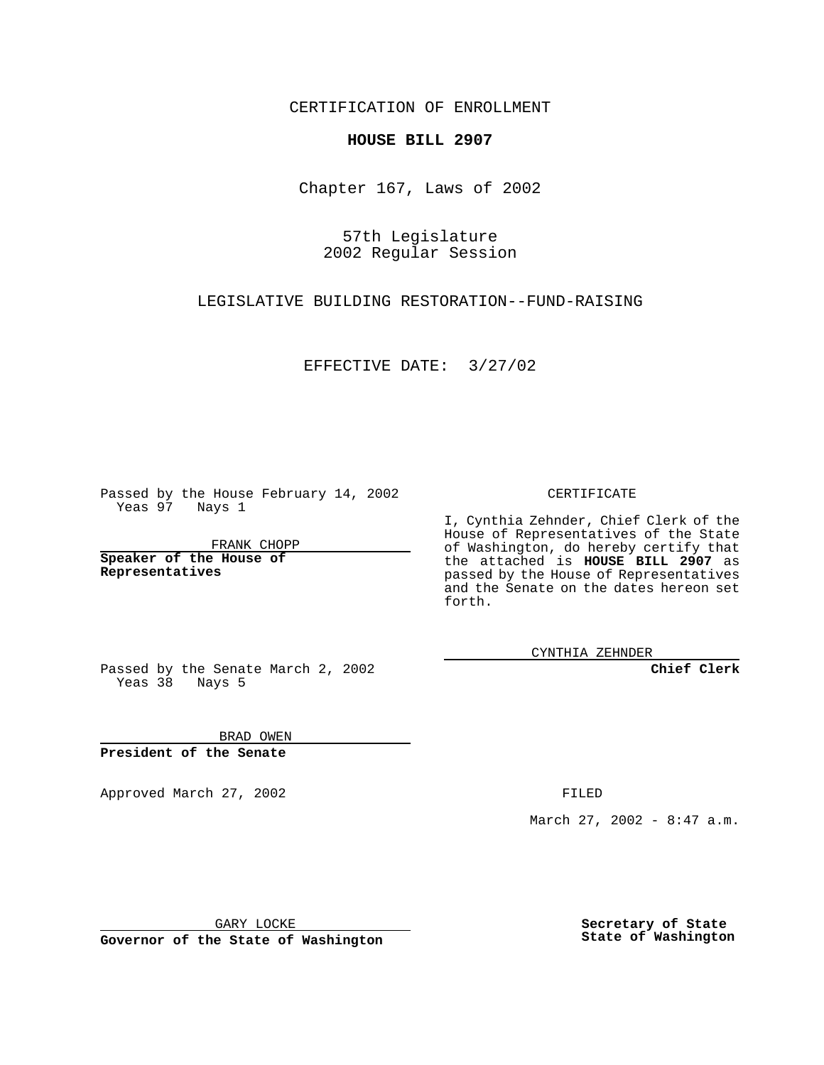CERTIFICATION OF ENROLLMENT

## **HOUSE BILL 2907**

Chapter 167, Laws of 2002

57th Legislature 2002 Regular Session

LEGISLATIVE BUILDING RESTORATION--FUND-RAISING

EFFECTIVE DATE: 3/27/02

Passed by the House February 14, 2002 Yeas 97 Nays 1

FRANK CHOPP

**Speaker of the House of Representatives**

CERTIFICATE

I, Cynthia Zehnder, Chief Clerk of the House of Representatives of the State of Washington, do hereby certify that the attached is **HOUSE BILL 2907** as passed by the House of Representatives and the Senate on the dates hereon set forth.

CYNTHIA ZEHNDER

**Chief Clerk**

Passed by the Senate March 2, 2002 Yeas 38 Nays 5

BRAD OWEN **President of the Senate**

Approved March 27, 2002 **FILED** 

March 27, 2002 - 8:47 a.m.

GARY LOCKE

**Governor of the State of Washington**

**Secretary of State State of Washington**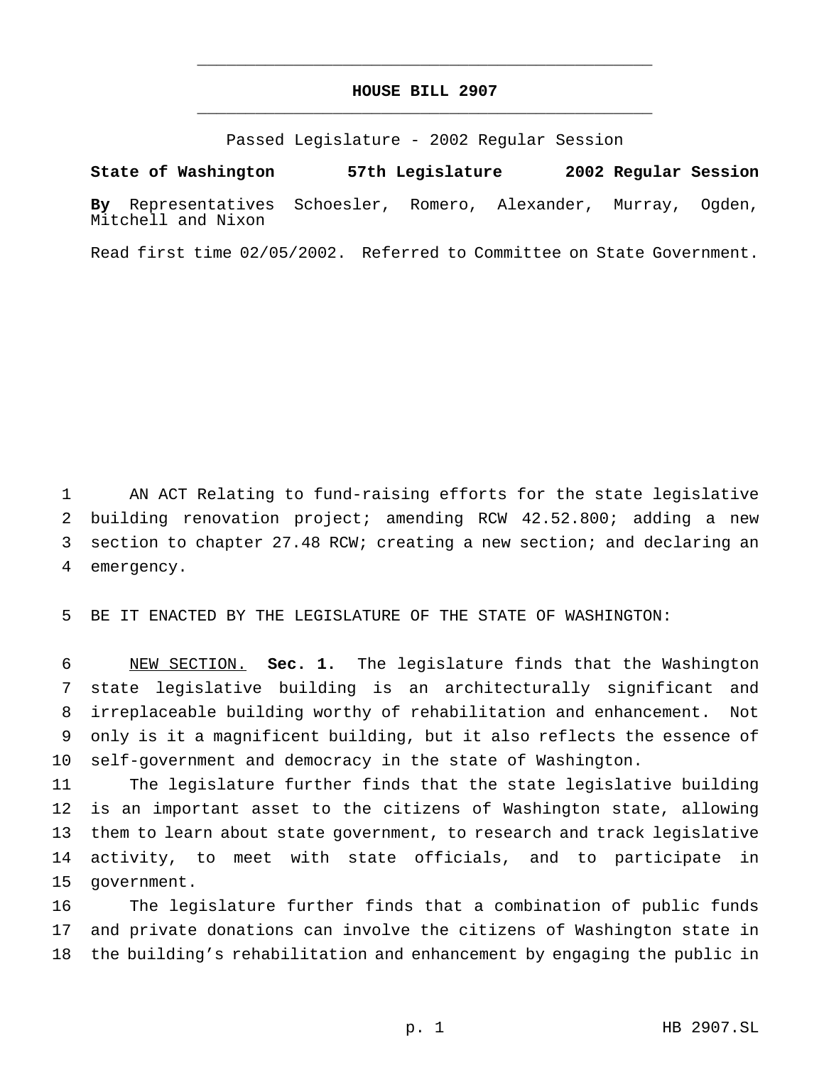## **HOUSE BILL 2907** \_\_\_\_\_\_\_\_\_\_\_\_\_\_\_\_\_\_\_\_\_\_\_\_\_\_\_\_\_\_\_\_\_\_\_\_\_\_\_\_\_\_\_\_\_\_\_

\_\_\_\_\_\_\_\_\_\_\_\_\_\_\_\_\_\_\_\_\_\_\_\_\_\_\_\_\_\_\_\_\_\_\_\_\_\_\_\_\_\_\_\_\_\_\_

Passed Legislature - 2002 Regular Session

**State of Washington 57th Legislature 2002 Regular Session By** Representatives Schoesler, Romero, Alexander, Murray, Ogden, Mitchell and Nixon

Read first time 02/05/2002. Referred to Committee on State Government.

 AN ACT Relating to fund-raising efforts for the state legislative building renovation project; amending RCW 42.52.800; adding a new section to chapter 27.48 RCW; creating a new section; and declaring an emergency.

BE IT ENACTED BY THE LEGISLATURE OF THE STATE OF WASHINGTON:

 NEW SECTION. **Sec. 1.** The legislature finds that the Washington state legislative building is an architecturally significant and irreplaceable building worthy of rehabilitation and enhancement. Not only is it a magnificent building, but it also reflects the essence of self-government and democracy in the state of Washington.

 The legislature further finds that the state legislative building is an important asset to the citizens of Washington state, allowing them to learn about state government, to research and track legislative activity, to meet with state officials, and to participate in government.

 The legislature further finds that a combination of public funds and private donations can involve the citizens of Washington state in the building's rehabilitation and enhancement by engaging the public in